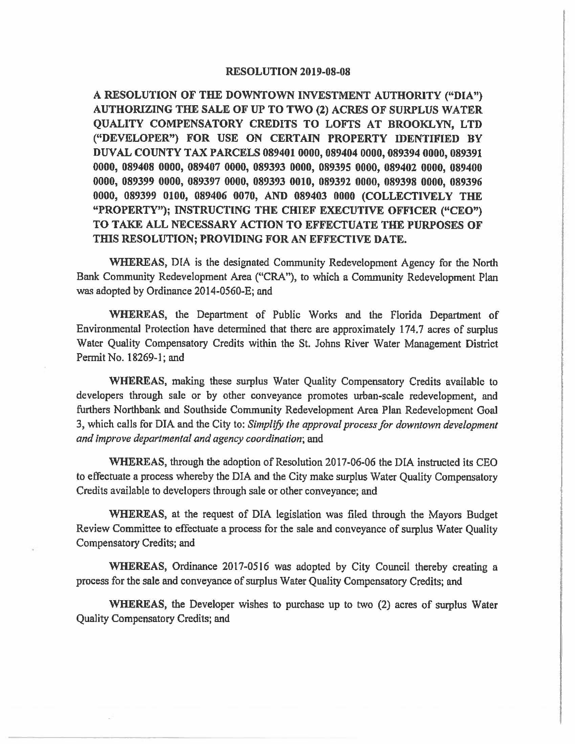## **RESOLUTION 2019-08-08**

**A RESOLUTION OF THE DOWNTOWN INVESTMENT AUTHORITY ("DIA") AUTHORIZING THE SALE OF UP TO TWO (2) ACRES OF SURPLUS WATER QUALITY COMPENSATORY CREDITS TO LOFI'S AT BROOKLYN, LTD ("DEVELOPER") FOR USE ON CERTAIN PROPERTY IDENTIFIED BY DUVAL COUNTY TAX PARCELS 089401 0000, 089404 0000, 089394 0000, 089391 0000, 089408 0000, 089407 0000, 089393 0000, 089395 0000, 089402 0000, 089400 0000, 089399 0000, 089397 0000, 089393 0010, 089392 0000, 089398 0000, 089396 0000, 089399 0100, 089406 0070, AND 089403 0000 (COLLECTIVELY THE "PROPERTY"); INSTRUCTING THE CHIEF EXECUTIVE OFFICER ("CEO") TO TAKE ALL NECESSARY ACTION TO EFFECTUATE THE PURPOSES OF**  THIS RESOLUTION; PROVIDING FOR AN EFFECTIVE DATE.

**WHEREAS,** DIA is the designated Community Redevelopment Agency for the North Bank Community Redevelopment Area ("CRA"), to which a Community Redevelopment Plan was adopted by Ordinance 2014-0560-E; and

**WHEREAS,** the Department of Public Works and the Florida Department of EnvironmentaJ Protection have determined that there are approximately 174.7 acres of surplus Water Quality Compensatory Credits within the St. Johns River Water Management District Permit No. 18269-1; and

**WHEREAS,** making these surplus Water Quality Compensatory Credits available to developers through sale or by other conveyance promotes urban-scale redevelopment, and furthers Northbank and Southside Community Redevelopment Area Plan Redevelopment Goal 3, which calls for DIA and the City to: *Simplify the approval process for downtown development and improve departmental and agency coordination;* and

**WHEREAS,** through the adoption of Resolution 2017-06-06 the DIA instructed its CEO to effectuate a process whereby the DIA and the City make surplus Water Quality Compensatory Credits available to developers through sale or other conveyance; and

**WHEREAS,** at the request of DIA legislation was filed through the Mayors Budget Review Committee to effectuate a process for the sale and conveyance of surplus Water Quality Compensatory Credits; and

**WHEREAS,** Ordinance 2017-0516 was adopted by City Council thereby creating a process for the sale and conveyance of surplus Water Quality Compensatory Credits; and

**WHEREAS,** the Developer wishes to purchase up to two (2) acres of surplus Water Quality Compensatory Credits; and